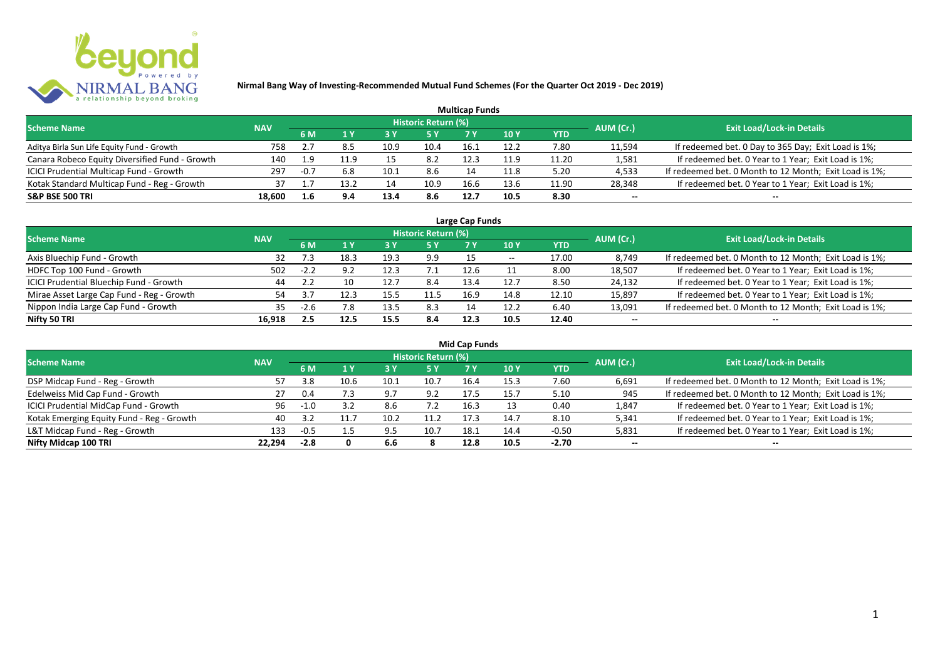

|                                                |            |        |      |      |                            | <b>Multicap Funds</b> |                 |       |           |                                                        |
|------------------------------------------------|------------|--------|------|------|----------------------------|-----------------------|-----------------|-------|-----------|--------------------------------------------------------|
| <b>Scheme Name</b>                             | <b>NAV</b> |        |      |      | <b>Historic Return (%)</b> |                       |                 |       | AUM (Cr.) | <b>Exit Load/Lock-in Details</b>                       |
|                                                |            | 6 M    |      | 73 Y |                            |                       | 10 <sub>Y</sub> | YTD   |           |                                                        |
| Aditya Birla Sun Life Equity Fund - Growth     | 758        |        |      | 10.9 | 10.4                       | 16.1                  | 12.2            | 7.80  | 11,594    | If redeemed bet. 0 Day to 365 Day; Exit Load is 1%;    |
| Canara Robeco Equity Diversified Fund - Growth | 140        | 1.9    | 11.9 | 15   | 8.2                        | 12.3                  | 11.9            | 11.20 | 1,581     | If redeemed bet. 0 Year to 1 Year; Exit Load is 1%;    |
| ICICI Prudential Multicap Fund - Growth        | 297        | $-0.7$ | 6.8  | 10.1 | 8.6                        |                       | 11.8            | 5.20  | 4,533     | If redeemed bet. 0 Month to 12 Month; Exit Load is 1%; |
| Kotak Standard Multicap Fund - Reg - Growth    | 37         |        |      | 14   | 10.9                       | 16.6                  | 13.6            | 11.90 | 28,348    | If redeemed bet. 0 Year to 1 Year; Exit Load is 1%;    |
| <b>S&amp;P BSE 500 TRI</b>                     | 18,600     | 1.6    | 9.4  | 13.4 | 8.6                        | 12.7                  | 10.5            | 8.30  | $- -$     | --                                                     |

| Large Cap Funds                           |            |        |      |      |                            |      |            |       |           |                                                        |  |  |  |
|-------------------------------------------|------------|--------|------|------|----------------------------|------|------------|-------|-----------|--------------------------------------------------------|--|--|--|
| <b>Scheme Name</b>                        | <b>NAV</b> |        |      |      | <b>Historic Return (%)</b> |      |            |       | AUM (Cr.) | <b>Exit Load/Lock-in Details</b>                       |  |  |  |
|                                           |            | 6 M    |      |      | 5 Y                        |      | <b>10Y</b> | YTD   |           |                                                        |  |  |  |
| Axis Bluechip Fund - Growth               | 32         |        | 18.3 | 19.3 | 9.9                        |      | $- -$      | 17.00 | 8,749     | If redeemed bet. 0 Month to 12 Month; Exit Load is 1%; |  |  |  |
| HDFC Top 100 Fund - Growth                | 502        | $-2.2$ | 9.2  | 12.3 |                            | 12.6 |            | 8.00  | 18,507    | If redeemed bet. 0 Year to 1 Year; Exit Load is 1%;    |  |  |  |
| ICICI Prudential Bluechip Fund - Growth   | 44         |        | 10   | 12.7 | 8.4                        | 13.4 | 12.7       | 8.50  | 24,132    | If redeemed bet. 0 Year to 1 Year; Exit Load is 1%;    |  |  |  |
| Mirae Asset Large Cap Fund - Reg - Growth | 54         |        | 12.3 | 15.5 | 11.5                       | 16.9 | 14.8       | 12.10 | 15,897    | If redeemed bet. 0 Year to 1 Year; Exit Load is 1%;    |  |  |  |
| Nippon India Large Cap Fund - Growth      | 35.        | $-2.6$ | 7.8  | 13.5 | 8.3                        |      | 12.2       | 6.40  | 13,091    | If redeemed bet. 0 Month to 12 Month; Exit Load is 1%; |  |  |  |
| Nifty 50 TRI                              | 16.918     | 2.5    | 12.5 | 15.5 | 8.4                        | 12.3 | 10.5       | 12.40 | $- -$     | $- -$                                                  |  |  |  |

| <b>Mid Cap Funds</b>                      |            |        |      |      |                            |      |      |            |           |                                                        |  |  |  |
|-------------------------------------------|------------|--------|------|------|----------------------------|------|------|------------|-----------|--------------------------------------------------------|--|--|--|
| <b>Scheme Name</b>                        | <b>NAV</b> |        |      |      | <b>Historic Return (%)</b> |      |      |            | AUM (Cr.) | <b>Exit Load/Lock-in Details</b>                       |  |  |  |
|                                           |            | 6 M    |      |      | 5 Y                        |      | 10 Y | <b>YTD</b> |           |                                                        |  |  |  |
| DSP Midcap Fund - Reg - Growth            |            | 3.8    | 10.6 | 10.1 | 10.7                       | 16.4 | 15.3 | 7.60       | 6,691     | If redeemed bet. 0 Month to 12 Month; Exit Load is 1%; |  |  |  |
| Edelweiss Mid Cap Fund - Growth           | 27         | 0.4    |      | 9.7  | 9.2                        | 17.5 | 15.7 | 5.10       | 945       | If redeemed bet. 0 Month to 12 Month; Exit Load is 1%; |  |  |  |
| ICICI Prudential MidCap Fund - Growth     | 96         | $-1.0$ |      | 8.6  | 7.2                        | 16.3 |      | 0.40       | 1,847     | If redeemed bet. 0 Year to 1 Year; Exit Load is 1%;    |  |  |  |
| Kotak Emerging Equity Fund - Reg - Growth | 40         |        |      | 10.2 | 11.2                       | 17.3 | 14.7 | 8.10       | 5,341     | If redeemed bet. 0 Year to 1 Year; Exit Load is 1%;    |  |  |  |
| L&T Midcap Fund - Reg - Growth            | 133        |        |      | 9.5  | 10.7                       | 18.1 | 14.4 | $-0.50$    | 5,831     | If redeemed bet. 0 Year to 1 Year; Exit Load is 1%;    |  |  |  |
| Nifty Midcap 100 TRI                      | 22.294     | $-2.8$ |      | 6.6  |                            | 12.8 | 10.5 | $-2.70$    | $- -$     | $- -$                                                  |  |  |  |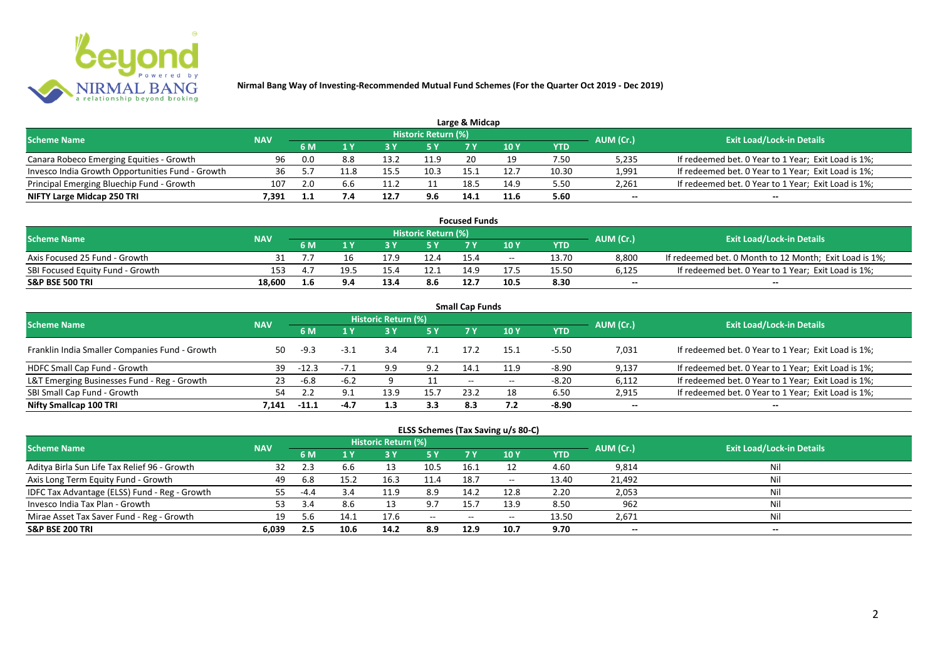

|                                                  |            |      |     |      |                            | Large & Midcap |            |       |           |                                                     |
|--------------------------------------------------|------------|------|-----|------|----------------------------|----------------|------------|-------|-----------|-----------------------------------------------------|
| <b>Scheme Name</b>                               | <b>NAV</b> |      |     |      | <b>Historic Return (%)</b> |                |            |       | AUM (Cr.) | <b>Exit Load/Lock-in Details</b>                    |
|                                                  |            | 6 M  |     |      | 5 Y                        |                | <b>10Y</b> | YTD   |           |                                                     |
| Canara Robeco Emerging Equities - Growth         | 96         | -0.0 | 8.8 | 13.2 | 11.9                       | 20             |            | 7.50  | 5,235     | If redeemed bet. 0 Year to 1 Year; Exit Load is 1%; |
| Invesco India Growth Opportunities Fund - Growth | 36         |      |     | 15.5 | 10.3                       |                | 12.7       | 10.30 | 1,991     | If redeemed bet. 0 Year to 1 Year; Exit Load is 1%; |
| Principal Emerging Bluechip Fund - Growth        | 107        |      | 6.6 |      |                            | 18.5           | 14.9       | 5.50  | 2,261     | If redeemed bet. 0 Year to 1 Year; Exit Load is 1%; |
| NIFTY Large Midcap 250 TRI                       | 7.391      |      |     | 12.7 | 9.6                        | 14.1           | 11.6       | 5.60  | $-$       | $- -$                                               |

| <b>Focused Funds</b>             |            |     |      |      |                     |      |       |       |           |                                                        |  |  |
|----------------------------------|------------|-----|------|------|---------------------|------|-------|-------|-----------|--------------------------------------------------------|--|--|
| <b>Scheme Name</b>               | <b>NAV</b> |     |      |      | Historic Return (%) |      |       |       | AUM (Cr.) | <b>Exit Load/Lock-in Details</b>                       |  |  |
|                                  |            | 6 M |      |      | 5 Y                 |      |       | YTD   |           |                                                        |  |  |
| Axis Focused 25 Fund - Growth    |            |     |      |      | 12.4                | 15.4 | $- -$ | 13.70 | 8,800     | If redeemed bet. 0 Month to 12 Month; Exit Load is 1%; |  |  |
| SBI Focused Equity Fund - Growth | 153        |     | 19.5 | 15.4 | 12.:                | 14.9 | 17.5  | 15.50 | 6,125     | If redeemed bet. 0 Year to 1 Year; Exit Load is 1%;    |  |  |
| <b>S&amp;P BSE 500 TRI</b>       | 18.600     | 1.6 | 9.4  | 13.4 | 8.6                 | 12.7 | 10.5  | 8.30  | $-$       | $- -$                                                  |  |  |

| <b>Small Cap Funds</b>                         |            |         |        |                            |           |                          |            |            |           |                                                     |  |  |  |
|------------------------------------------------|------------|---------|--------|----------------------------|-----------|--------------------------|------------|------------|-----------|-----------------------------------------------------|--|--|--|
| <b>Scheme Name</b>                             | <b>NAV</b> |         |        | <b>Historic Return (%)</b> |           |                          |            |            | AUM (Cr.) | <b>Exit Load/Lock-in Details</b>                    |  |  |  |
|                                                |            |         |        |                            | <b>5Y</b> | 7 Y                      | <b>10Y</b> | <b>YTD</b> |           |                                                     |  |  |  |
| Franklin India Smaller Companies Fund - Growth | 50         | -9.3    | $-3.1$ | 3.4                        | 7.1       | 17.2                     | 15.1       | $-5.50$    | 7,031     | If redeemed bet. 0 Year to 1 Year; Exit Load is 1%; |  |  |  |
| HDFC Small Cap Fund - Growth                   | 39         | $-12.3$ |        | 9.9                        | 9.2       | 14.1                     | 11.9       | $-8.90$    | 9,137     | If redeemed bet. 0 Year to 1 Year; Exit Load is 1%; |  |  |  |
| L&T Emerging Businesses Fund - Reg - Growth    | 23         | -6.8    | $-6.2$ |                            |           | $\overline{\phantom{a}}$ | $- -$      | $-8.20$    | 6,112     | If redeemed bet. 0 Year to 1 Year; Exit Load is 1%; |  |  |  |
| SBI Small Cap Fund - Growth                    | 54         |         | 9.1    | 13.9                       | 15.7      | 23.2                     | 18         | 6.50       | 2,915     | If redeemed bet. 0 Year to 1 Year; Exit Load is 1%; |  |  |  |
| Nifty Smallcap 100 TRI                         | 7.141      | $-11.1$ | $-4.7$ | 1.3                        | 3.3       | 8.3                      |            | $-8.90$    | $- -$     | --                                                  |  |  |  |

## **ELSS Schemes (Tax Saving u/s 80-C)**

| <b>Scheme Name</b>                            | <b>NAV</b> |        |      | <b>Historic Return (%)</b> |           |       |            |       | AUM (Cr.) | <b>Exit Load/Lock-in Details</b> |
|-----------------------------------------------|------------|--------|------|----------------------------|-----------|-------|------------|-------|-----------|----------------------------------|
|                                               |            | 6 M    |      |                            | <b>5Y</b> | 7 Y   | <b>10Y</b> | YTD   |           |                                  |
| Aditya Birla Sun Life Tax Relief 96 - Growth  | 32         |        | 6.6  |                            | 10.5      | 16.1  |            | 4.60  | 9,814     | Nil                              |
| Axis Long Term Equity Fund - Growth           | 49         | 6.8    | 15.2 | 16.3                       | 11.4      | 18.7  | $- -$      | 13.40 | 21,492    | Nil                              |
| IDFC Tax Advantage (ELSS) Fund - Reg - Growth | 55.        | $-4.4$ | 3.4  | 11.9                       | 8.9       | 14.2  | 12.8       | 2.20  | 2,053     | Nil                              |
| Invesco India Tax Plan - Growth               |            | -34    | 8.6  |                            | 9.7       | 15.7  | 13.9       | 8.50  | 962       | Nil                              |
| Mirae Asset Tax Saver Fund - Reg - Growth     | 19         | 5.6    | 14.1 | 17.6                       | $- -$     | $- -$ | $- -$      | 13.50 | 2,671     | Nil                              |
| <b>S&amp;P BSE 200 TRI</b>                    | 6.039      | 2.5    | 10.6 | 14.2                       | 8.9       | 12.9  | 10.7       | 9.70  | $- -$     | $- -$                            |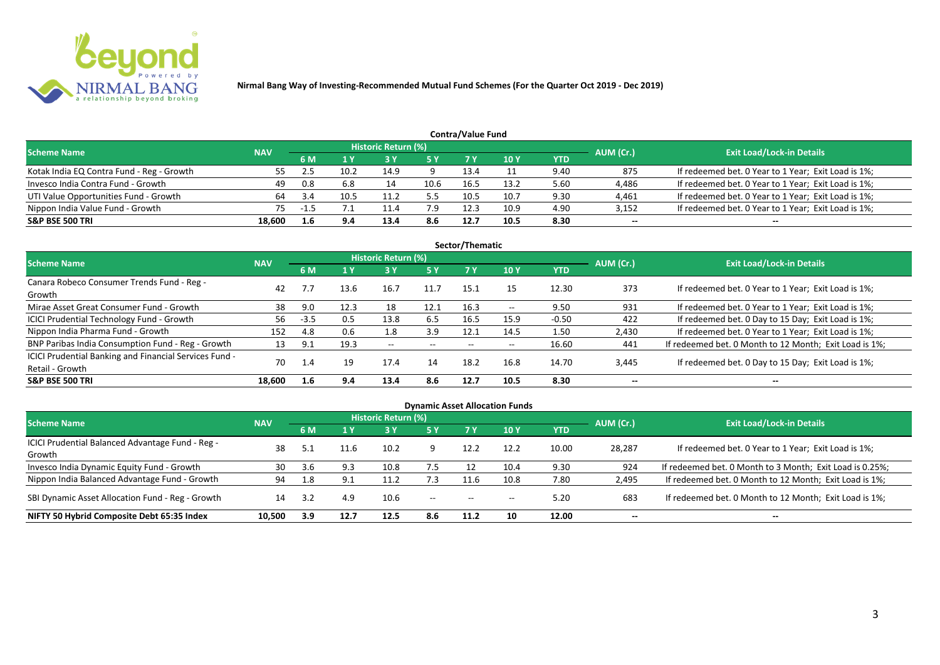

| <b>Contra/Value Fund</b>                  |            |      |      |                            |           |      |      |            |           |                                                     |  |  |  |
|-------------------------------------------|------------|------|------|----------------------------|-----------|------|------|------------|-----------|-----------------------------------------------------|--|--|--|
| <b>Scheme Name</b>                        | <b>NAV</b> |      |      | <b>Historic Return (%)</b> |           |      |      |            | AUM (Cr.) | <b>Exit Load/Lock-in Details</b>                    |  |  |  |
|                                           |            | 6 M  |      |                            | <b>5Y</b> |      | 10 Y | <b>YTD</b> |           |                                                     |  |  |  |
| Kotak India EQ Contra Fund - Reg - Growth | 55         |      | 10.2 | 14.9                       |           | 13.4 |      | 9.40       | 875       | If redeemed bet. 0 Year to 1 Year; Exit Load is 1%; |  |  |  |
| Invesco India Contra Fund - Growth        | 49         | 0.8  | 6.8  |                            | 10.6      | 16.5 | 13.2 | 5.60       | 4,486     | If redeemed bet. 0 Year to 1 Year; Exit Load is 1%; |  |  |  |
| UTI Value Opportunities Fund - Growth     | 64         | -3.4 | 10.5 |                            |           | 10.5 | 10.7 | 9.30       | 4,461     | If redeemed bet. 0 Year to 1 Year; Exit Load is 1%; |  |  |  |
| Nippon India Value Fund - Growth          | 75         |      |      | 11.4                       | 7.9       | 12.3 | 10.9 | 4.90       | 3,152     | If redeemed bet. 0 Year to 1 Year; Exit Load is 1%; |  |  |  |
| <b>S&amp;P BSE 500 TRI</b>                | 18.600     | 1.6  | 9.4  | 13.4                       | 8.6       | 12.7 | 10.5 | 8.30       | $- -$     | $- -$                                               |  |  |  |

| Sector/Thematic                                                           |            |        |      |                            |           |      |       |            |           |                                                        |  |  |  |  |
|---------------------------------------------------------------------------|------------|--------|------|----------------------------|-----------|------|-------|------------|-----------|--------------------------------------------------------|--|--|--|--|
| <b>Scheme Name</b>                                                        | <b>NAV</b> |        |      | <b>Historic Return (%)</b> |           |      |       |            | AUM (Cr.) | <b>Exit Load/Lock-in Details</b>                       |  |  |  |  |
|                                                                           |            | 6 M    | 1Y   | 3 Y                        | <b>5Y</b> | 7 Y  | 10Y   | <b>YTD</b> |           |                                                        |  |  |  |  |
| Canara Robeco Consumer Trends Fund - Reg -<br>Growth                      | 42         |        | 13.6 | 16.7                       | 11.7      | 15.1 | 15    | 12.30      | 373       | If redeemed bet. 0 Year to 1 Year; Exit Load is 1%;    |  |  |  |  |
| Mirae Asset Great Consumer Fund - Growth                                  | 38         | 9.0    | 12.3 | 18                         | 12.1      | 16.3 | $- -$ | 9.50       | 931       | If redeemed bet. 0 Year to 1 Year; Exit Load is 1%;    |  |  |  |  |
| <b>ICICI Prudential Technology Fund - Growth</b>                          | 56         | $-3.5$ | 0.5  | 13.8                       | 6.5       | 16.5 | 15.9  | $-0.50$    | 422       | If redeemed bet. 0 Day to 15 Day; Exit Load is 1%;     |  |  |  |  |
| Nippon India Pharma Fund - Growth                                         | 152        | 4.8    | 0.6  | 1.8                        | 3.9       | 12.1 | 14.5  | 1.50       | 2,430     | If redeemed bet. 0 Year to 1 Year; Exit Load is 1%;    |  |  |  |  |
| BNP Paribas India Consumption Fund - Reg - Growth                         | 13         | 9.1    | 19.3 | $- -$                      | $- -$     | $-$  | $- -$ | 16.60      | 441       | If redeemed bet. 0 Month to 12 Month; Exit Load is 1%; |  |  |  |  |
| ICICI Prudential Banking and Financial Services Fund -<br>Retail - Growth | 70         | -1     | 19   | 17.4                       | 14        | 18.2 | 16.8  | 14.70      | 3,445     | If redeemed bet. 0 Day to 15 Day; Exit Load is 1%;     |  |  |  |  |
| <b>S&amp;P BSE 500 TRI</b>                                                | 18.600     | 1.6    | 9.4  | 13.4                       | 8.6       | 12.7 | 10.5  | 8.30       | --        | --                                                     |  |  |  |  |

| <b>Dynamic Asset Allocation Funds</b>                      |            |           |      |                            |                          |                   |                          |            |           |                                                          |  |  |  |
|------------------------------------------------------------|------------|-----------|------|----------------------------|--------------------------|-------------------|--------------------------|------------|-----------|----------------------------------------------------------|--|--|--|
| Scheme Name                                                | <b>NAV</b> |           |      | <b>Historic Return (%)</b> |                          |                   |                          |            | AUM (Cr.) | <b>Exit Load/Lock-in Details</b>                         |  |  |  |
|                                                            |            | <b>6M</b> | 1 Y  | 3 Y                        | 5 Y                      | <b>7Y</b>         | <b>10Y</b>               | <b>YTD</b> |           |                                                          |  |  |  |
| ICICI Prudential Balanced Advantage Fund - Reg -<br>Growth | 38         |           | 11.6 | 10.2                       |                          | 12.2              | 12.2                     | 10.00      | 28,287    | If redeemed bet. 0 Year to 1 Year; Exit Load is 1%;      |  |  |  |
| Invesco India Dynamic Equity Fund - Growth                 | 30         | 3.6       | 9.3  | 10.8                       | 7.5                      |                   | 10.4                     | 9.30       | 924       | If redeemed bet. 0 Month to 3 Month; Exit Load is 0.25%; |  |  |  |
| Nippon India Balanced Advantage Fund - Growth              | 94         | 1.8       | 9.1  | 11.2                       | 7.3                      | 11.6              | 10.8                     | 7.80       | 2,495     | If redeemed bet. 0 Month to 12 Month; Exit Load is 1%;   |  |  |  |
| SBI Dynamic Asset Allocation Fund - Reg - Growth           | 14         |           | 4.9  | 10.6                       | $\overline{\phantom{a}}$ | $\hspace{0.05cm}$ | $\overline{\phantom{a}}$ | 5.20       | 683       | If redeemed bet. 0 Month to 12 Month; Exit Load is 1%;   |  |  |  |
| NIFTY 50 Hybrid Composite Debt 65:35 Index                 | 10,500     | 3.9       | 12.7 | 12.5                       | 8.6                      | 11.2              | 10                       | 12.00      | $- -$     | $- -$                                                    |  |  |  |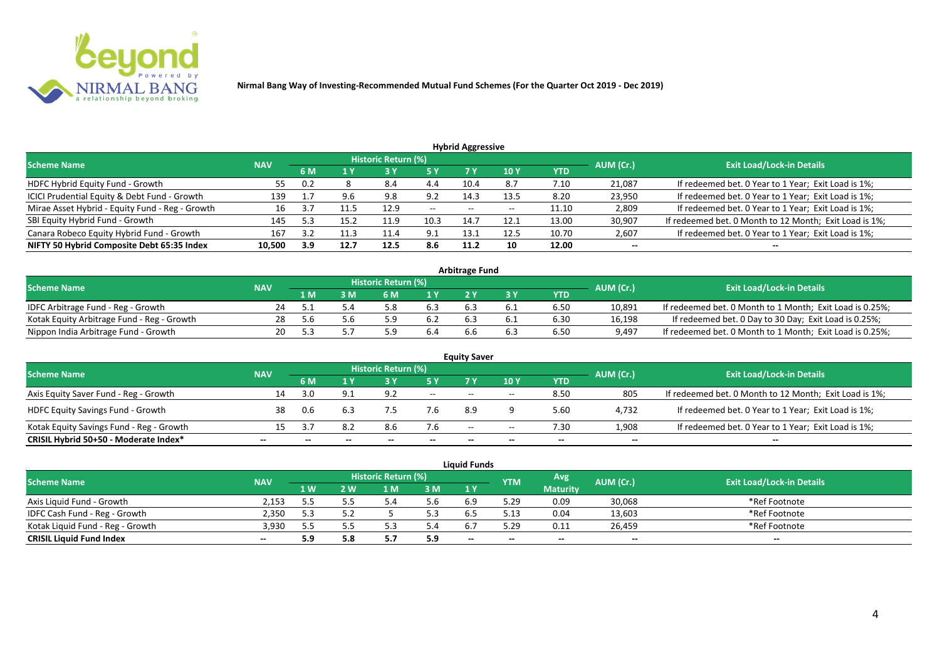

| <b>Hybrid Aggressive</b>                        |            |         |      |                            |                          |       |       |            |           |                                                        |  |  |  |  |
|-------------------------------------------------|------------|---------|------|----------------------------|--------------------------|-------|-------|------------|-----------|--------------------------------------------------------|--|--|--|--|
| <b>Scheme Name</b>                              | <b>NAV</b> |         |      | <b>Historic Return (%)</b> |                          |       |       |            | AUM (Cr.) | <b>Exit Load/Lock-in Details</b>                       |  |  |  |  |
|                                                 |            | 6 M     | 1 Y  | 13 Y                       | <b>5 Y</b>               | 7 Y   | 10 Y  | <b>YTD</b> |           |                                                        |  |  |  |  |
| HDFC Hybrid Equity Fund - Growth                | 55         | 0.2     |      | 8.4                        | 4.4                      | 10.4  | 8.7   | 7.10       | 21,087    | If redeemed bet. 0 Year to 1 Year; Exit Load is 1%;    |  |  |  |  |
| ICICI Prudential Equity & Debt Fund - Growth    | 139        | <b></b> | 9.6  | 9.8                        | 9.2                      | 14.3  | 13.5  | 8.20       | 23,950    | If redeemed bet. 0 Year to 1 Year; Exit Load is 1%;    |  |  |  |  |
| Mirae Asset Hybrid - Equity Fund - Reg - Growth | 16         |         |      | 12.9                       | $\overline{\phantom{a}}$ | $- -$ | $- -$ | 11.10      | 2,809     | If redeemed bet. 0 Year to 1 Year; Exit Load is 1%;    |  |  |  |  |
| SBI Equity Hybrid Fund - Growth                 | 145        | 5.3     | 15.2 | 11.9                       | 10.3                     | 14.7  | 12.1  | 13.00      | 30,907    | If redeemed bet. 0 Month to 12 Month; Exit Load is 1%; |  |  |  |  |
| Canara Robeco Equity Hybrid Fund - Growth       | 167        | 3.2     |      | 11.4                       | 9.1                      | 13.1  | 12.5  | 10.70      | 2,607     | If redeemed bet. 0 Year to 1 Year; Exit Load is 1%;    |  |  |  |  |
| NIFTY 50 Hybrid Composite Debt 65:35 Index      | 10,500     | 3.9     | 12.7 | 12.5                       | 8.6                      | 11.2  | 10    | 12.00      | $- -$     | $- -$                                                  |  |  |  |  |

| <b>Arbitrage Fund</b>                      |            |     |     |                            |     |  |  |            |           |                                                          |  |  |  |
|--------------------------------------------|------------|-----|-----|----------------------------|-----|--|--|------------|-----------|----------------------------------------------------------|--|--|--|
| <b>Scheme Name</b>                         | <b>NAV</b> |     |     | <b>Historic Return (%)</b> |     |  |  |            | AUM (Cr.) | <b>Exit Load/Lock-in Details</b>                         |  |  |  |
|                                            |            | 1 M | M   | ና M                        | 1 V |  |  | <b>YTD</b> |           |                                                          |  |  |  |
| IDFC Arbitrage Fund - Reg - Growth         |            |     |     |                            | 6.3 |  |  | 6.50       | 10,891    | If redeemed bet. 0 Month to 1 Month; Exit Load is 0.25%; |  |  |  |
| Kotak Equity Arbitrage Fund - Reg - Growth | 28         |     | 5.b | ς ο                        |     |  |  | 6.30       | 16,198    | If redeemed bet. 0 Day to 30 Day; Exit Load is 0.25%;    |  |  |  |
| Nippon India Arbitrage Fund - Growth       | 20.        |     |     |                            |     |  |  | 6.50       | 9,497     | If redeemed bet. 0 Month to 1 Month; Exit Load is 0.25%; |  |  |  |

| <b>Equity Saver</b>                      |            |     |     |                     |       |                          |            |            |           |                                                        |  |  |  |
|------------------------------------------|------------|-----|-----|---------------------|-------|--------------------------|------------|------------|-----------|--------------------------------------------------------|--|--|--|
| <b>Scheme Name</b>                       | <b>NAV</b> |     |     | Historic Return (%) |       |                          |            |            | AUM (Cr.) | <b>Exit Load/Lock-in Details</b>                       |  |  |  |
|                                          |            | 6 M |     |                     |       | 7 V                      | <b>10Y</b> | <b>YTD</b> |           |                                                        |  |  |  |
| Axis Equity Saver Fund - Reg - Growth    | L4         | 3.0 |     | 9.2                 | $- -$ | $- -$                    | $- -$      | 8.50       | 805       | If redeemed bet. 0 Month to 12 Month; Exit Load is 1%; |  |  |  |
| <b>HDFC Equity Savings Fund - Growth</b> | 38         | 0.6 |     |                     | 7.6   | 8.9                      |            | 5.60       | 4,732     | If redeemed bet. 0 Year to 1 Year; Exit Load is 1%;    |  |  |  |
| Kotak Equity Savings Fund - Reg - Growth |            |     | 8.2 | 8.6                 | 7.6   | $\overline{\phantom{a}}$ | $- -$      | 7.30       | 1,908     | If redeemed bet. 0 Year to 1 Year; Exit Load is 1%;    |  |  |  |
| CRISIL Hybrid 50+50 - Moderate Index*    |            |     |     | $- -$               | $- -$ |                          | $- -$      | --         | $- -$     | --                                                     |  |  |  |

|                                  |            |      |     |                     |                | <b>Liauid Funds</b> |            |                 |           |                                  |
|----------------------------------|------------|------|-----|---------------------|----------------|---------------------|------------|-----------------|-----------|----------------------------------|
| <b>Scheme Name</b>               | <b>NAV</b> |      |     | Historic Return (%) |                |                     | <b>YTM</b> | Avg             | AUM (Cr.) | <b>Exit Load/Lock-in Details</b> |
|                                  |            | '1 W | 2 W | 1 M                 | 3 <sub>M</sub> | 1 Y                 |            | <b>Maturity</b> |           |                                  |
| Axis Liquid Fund - Growth        | 2.153      |      |     |                     | o.b            | 6.9                 | 5.29       | 0.09            | 30,068    | *Ref Footnote                    |
| IDFC Cash Fund - Reg - Growth    | 2,350      |      |     |                     |                |                     | 5.13       | 0.04            | 13,603    | *Ref Footnote                    |
| Kotak Liquid Fund - Reg - Growth | 3.930      |      |     |                     | .4د            | 6.7                 | 5.29       | 0.11            | 26,459    | *Ref Footnote                    |
| <b>CRISIL Liquid Fund Index</b>  | --         | 5.9  | 5.8 |                     | 5.9            | $- -$               | --         | $- -$           | $-$       | $- -$                            |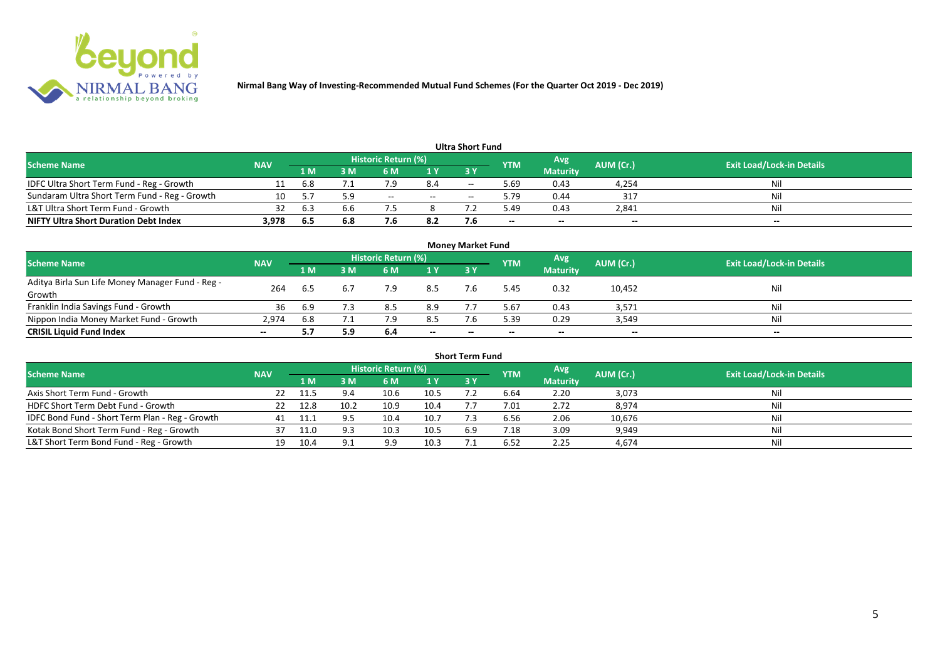

|                                               |            |     |     |                            |      | Ultra Short Fund         |            |                 |           |                                  |
|-----------------------------------------------|------------|-----|-----|----------------------------|------|--------------------------|------------|-----------------|-----------|----------------------------------|
| <b>Scheme Name</b>                            | <b>NAV</b> |     |     | <b>Historic Return (%)</b> |      |                          | <b>YTM</b> | Avg             | AUM (Cr.) | <b>Exit Load/Lock-in Details</b> |
|                                               |            | 1 M | I M | 6 M                        | 1 Y  | 73 Y                     |            | <b>Maturity</b> |           |                                  |
| IDFC Ultra Short Term Fund - Reg - Growth     |            | 6.8 |     | 7.9                        | 8.4  | $- -$                    | 5.69       | 0.43            | 4,254     | Nil                              |
| Sundaram Ultra Short Term Fund - Reg - Growth | 10         | 5.7 | 5.9 | $- -$                      | $ -$ | $\overline{\phantom{a}}$ | 5.79       | 0.44            | 317       | Nil                              |
| L&T Ultra Short Term Fund - Growth            | 32         | 6.5 |     |                            |      |                          | 49.د       | 0.43            | 2,841     | Nil                              |
| <b>NIFTY Ultra Short Duration Debt Index</b>  | 3,978      | 6.5 | 6.8 |                            | 8.2  |                          | $- -$      | $- -$           | $-$       | $- -$                            |

| <b>Money Market Fund</b>                                   |            |      |     |                     |       |       |            |                 |           |                                  |  |  |  |
|------------------------------------------------------------|------------|------|-----|---------------------|-------|-------|------------|-----------------|-----------|----------------------------------|--|--|--|
| <b>Scheme Name</b>                                         | <b>NAV</b> |      |     | Historic Return (%) |       |       | <b>YTM</b> | Avg             | AUM (Cr.) | <b>Exit Load/Lock-in Details</b> |  |  |  |
|                                                            |            | '1 M | M   | 6 M                 | 1Y    | 3 Y   |            | <b>Maturity</b> |           |                                  |  |  |  |
| Aditya Birla Sun Life Money Manager Fund - Reg -<br>Growth | 264        |      | 6.7 | 7.9                 | 8.5   |       | 5.45       | 0.32            | 10,452    | Nil                              |  |  |  |
| Franklin India Savings Fund - Growth                       | 36         | 6.9  |     | 8.5                 | 8.9   |       | 5.67       | 0.43            | 3,571     | Nil                              |  |  |  |
| Nippon India Money Market Fund - Growth                    | 2,974      | 6.8  |     |                     | 8.5   |       | 5.39       | 0.29            | 3,549     | Nil                              |  |  |  |
| <b>CRISIL Liquid Fund Index</b>                            | $- -$      |      | 5.9 | -6.4                | $- -$ | $- -$ | $- -$      | $- -$           | $- -$     | $- -$                            |  |  |  |

| <b>Short Term Fund</b>                          |            |      |      |                            |      |           |            |                 |           |                                  |  |  |  |
|-------------------------------------------------|------------|------|------|----------------------------|------|-----------|------------|-----------------|-----------|----------------------------------|--|--|--|
| <b>Scheme Name</b>                              | <b>NAV</b> |      |      | <b>Historic Return (%)</b> |      |           | <b>YTM</b> | Avg             | AUM (Cr.) | <b>Exit Load/Lock-in Details</b> |  |  |  |
|                                                 |            | 1 M  | 3 M  | 6 M                        | 1Y   | <b>3Y</b> |            | <b>Maturity</b> |           |                                  |  |  |  |
| Axis Short Term Fund - Growth                   | 22         |      | 9.4  | 10.6                       | 10.5 |           | 6.64       | 2.20            | 3,073     | Nil                              |  |  |  |
| HDFC Short Term Debt Fund - Growth              |            | 12.8 | 10.2 | 10.9                       | 10.4 |           | 7.01       | 2.72            | 8,974     | Nil                              |  |  |  |
| IDFC Bond Fund - Short Term Plan - Reg - Growth | 41         |      |      | 10.4                       | 10.7 |           | 6.56       | 2.06            | 10,676    | Nil                              |  |  |  |
| Kotak Bond Short Term Fund - Reg - Growth       |            |      |      | 10.3                       | 10.5 | 6.9       | 7.18       | 3.09            | 9,949     | Nil                              |  |  |  |
| L&T Short Term Bond Fund - Reg - Growth         | 19         | 10.4 |      | 9.9                        | 10.3 |           | 6.52       | 2.25            | 4,674     | Nil                              |  |  |  |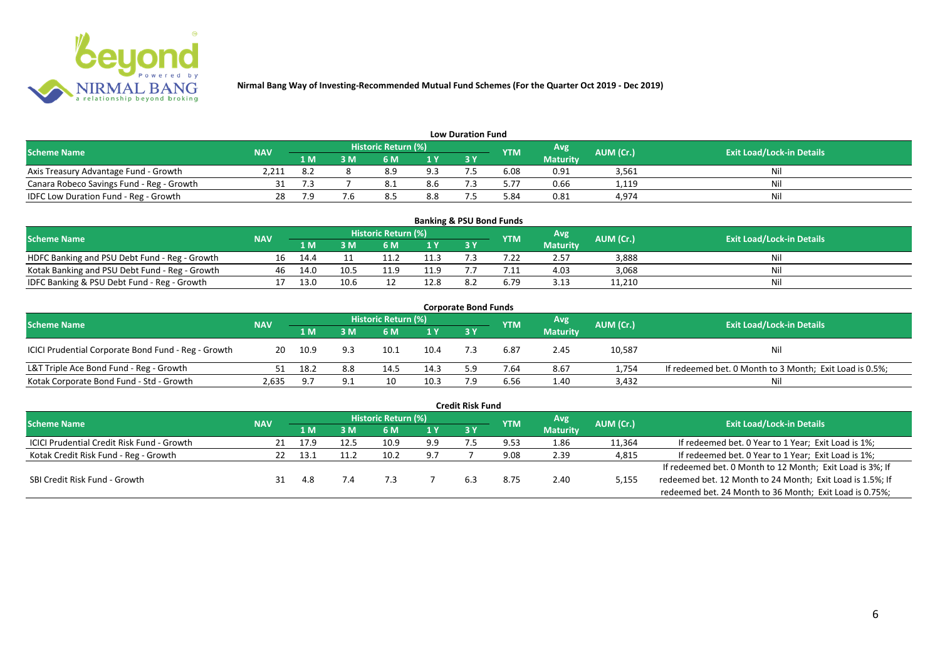

| <b>Low Duration Fund</b>                  |            |      |     |                            |     |    |            |                 |           |                                  |  |  |  |  |
|-------------------------------------------|------------|------|-----|----------------------------|-----|----|------------|-----------------|-----------|----------------------------------|--|--|--|--|
| <b>Scheme Name</b>                        | <b>NAV</b> |      |     | <b>Historic Return (%)</b> |     |    | <b>YTM</b> | Avg             | AUM (Cr.) | <b>Exit Load/Lock-in Details</b> |  |  |  |  |
|                                           |            | 1 M  | 3 M |                            | 1Y  | 3Y |            | <b>Maturity</b> |           |                                  |  |  |  |  |
| Axis Treasury Advantage Fund - Growth     | 2,211      | -8.2 |     | 8.9                        | 9.3 |    | 6.08       | 0.91            | 3,561     | Ni                               |  |  |  |  |
| Canara Robeco Savings Fund - Reg - Growth |            |      |     | 0.1                        | 8.6 |    | 5.77       | 0.66            | 1,119     | Nil                              |  |  |  |  |
| IDFC Low Duration Fund - Reg - Growth     |            | 7.9  |     |                            | 8.8 |    | 84.د       | 0.81            | 4,974     | Nil                              |  |  |  |  |

| <b>Banking &amp; PSU Bond Funds</b>            |            |      |      |                            |      |           |            |                 |           |                                  |  |  |  |
|------------------------------------------------|------------|------|------|----------------------------|------|-----------|------------|-----------------|-----------|----------------------------------|--|--|--|
| <b>Scheme Name</b>                             | <b>NAV</b> |      |      | <b>Historic Return (%)</b> |      |           | <b>YTM</b> | Avg             | AUM (Cr.) | <b>Exit Load/Lock-in Details</b> |  |  |  |
|                                                |            | 1 M  | . M  | 6 M                        |      | <b>3Y</b> |            | <b>Maturity</b> |           |                                  |  |  |  |
| HDFC Banking and PSU Debt Fund - Reg - Growth  | 16         | 14.4 |      |                            | 11.3 |           |            | 2.57            | 3,888     | Nil                              |  |  |  |
| Kotak Banking and PSU Debt Fund - Reg - Growth | 46         | 14.0 | 10.5 |                            | 11.9 |           |            | 4.03            | 3,068     | Nil                              |  |  |  |
| IDFC Banking & PSU Debt Fund - Reg - Growth    |            | 13.0 | 10.6 |                            | 12.8 |           | 6.79       | 3.13            | 11,210    | Nil                              |  |  |  |

|                                                     |            |      |     |                            |                | <b>Corporate Bond Funds</b> |            |                 |           |                                                         |
|-----------------------------------------------------|------------|------|-----|----------------------------|----------------|-----------------------------|------------|-----------------|-----------|---------------------------------------------------------|
| <b>Scheme Name</b>                                  | <b>NAV</b> |      |     | <b>Historic Return (%)</b> |                |                             | <b>YTM</b> | Avg             | AUM (Cr.) | <b>Exit Load/Lock-in Details</b>                        |
|                                                     |            | 1 M  | : M | 6 M                        | 1 <sup>Y</sup> | 3 Y                         |            | <b>Maturity</b> |           |                                                         |
| ICICI Prudential Corporate Bond Fund - Reg - Growth | 20         | 10.9 |     | 10.1                       | 10.4           |                             | 6.87       | 2.45            | 10,587    | <b>Nil</b>                                              |
| L&T Triple Ace Bond Fund - Reg - Growth             |            | 18.2 | 8.8 | 14.5                       | 14.3           |                             | 7.64       | 8.67            | 1,754     | If redeemed bet. 0 Month to 3 Month; Exit Load is 0.5%; |
| Kotak Corporate Bond Fund - Std - Growth            | 2,635      | -9.7 | 9.1 |                            | 10.3           |                             | 6.56       | 1.40            | 3,432     | Nil                                                     |

|                                                   |            |      |     |                            |      | <b>Credit Risk Fund</b> |            |                 |           |                                                           |
|---------------------------------------------------|------------|------|-----|----------------------------|------|-------------------------|------------|-----------------|-----------|-----------------------------------------------------------|
| <b>Scheme Name</b>                                | <b>NAV</b> |      |     | <b>Historic Return (%)</b> |      |                         | <b>YTM</b> | Avg             | AUM (Cr.) | <b>Exit Load/Lock-in Details</b>                          |
|                                                   |            | 1 M. | 3 M | 6 M                        | 71 Y | 3 Y                     |            | <b>Maturity</b> |           |                                                           |
| <b>ICICI Prudential Credit Risk Fund - Growth</b> | 21         | 17.9 |     | 10.9                       | 9.9  |                         | 9.53       | 1.86            | 11,364    | If redeemed bet. 0 Year to 1 Year; Exit Load is 1%;       |
| Kotak Credit Risk Fund - Reg - Growth             |            | 13.1 |     | 10.2                       | 9.7  |                         | 9.08       | 2.39            | 4,815     | If redeemed bet. 0 Year to 1 Year; Exit Load is 1%;       |
|                                                   |            |      |     |                            |      |                         |            |                 |           | If redeemed bet. 0 Month to 12 Month; Exit Load is 3%; If |
| SBI Credit Risk Fund - Growth                     |            | 4.8  | 7.4 |                            |      | 6.3                     | 8.75       | 2.40            | 5,155     | redeemed bet. 12 Month to 24 Month; Exit Load is 1.5%; If |
|                                                   |            |      |     |                            |      |                         |            |                 |           | redeemed bet. 24 Month to 36 Month; Exit Load is 0.75%;   |